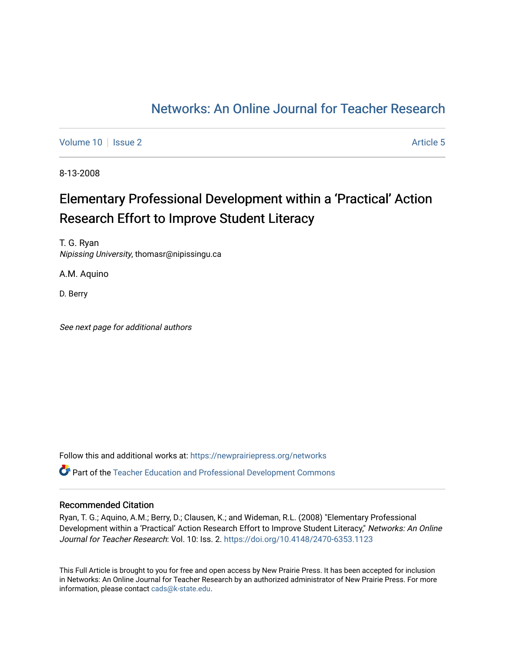## [Networks: An Online Journal for Teacher Research](https://newprairiepress.org/networks)

[Volume 10](https://newprairiepress.org/networks/vol10) | [Issue 2](https://newprairiepress.org/networks/vol10/iss2) Article 5

8-13-2008

# Elementary Professional Development within a 'Practical' Action Research Effort to Improve Student Literacy

T. G. Ryan Nipissing University, thomasr@nipissingu.ca

A.M. Aquino

D. Berry

See next page for additional authors

Follow this and additional works at: [https://newprairiepress.org/networks](https://newprairiepress.org/networks?utm_source=newprairiepress.org%2Fnetworks%2Fvol10%2Fiss2%2F5&utm_medium=PDF&utm_campaign=PDFCoverPages)

Part of the [Teacher Education and Professional Development Commons](http://network.bepress.com/hgg/discipline/803?utm_source=newprairiepress.org%2Fnetworks%2Fvol10%2Fiss2%2F5&utm_medium=PDF&utm_campaign=PDFCoverPages) 

#### Recommended Citation

Ryan, T. G.; Aquino, A.M.; Berry, D.; Clausen, K.; and Wideman, R.L. (2008) "Elementary Professional Development within a 'Practical' Action Research Effort to Improve Student Literacy," Networks: An Online Journal for Teacher Research: Vol. 10: Iss. 2. <https://doi.org/10.4148/2470-6353.1123>

This Full Article is brought to you for free and open access by New Prairie Press. It has been accepted for inclusion in Networks: An Online Journal for Teacher Research by an authorized administrator of New Prairie Press. For more information, please contact [cads@k-state.edu](mailto:cads@k-state.edu).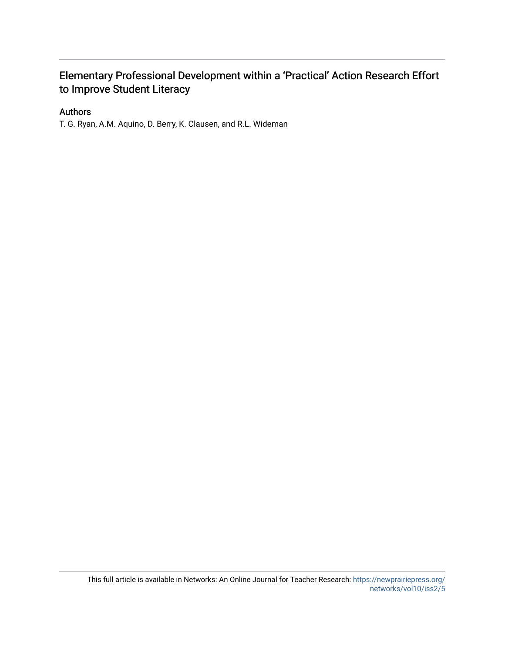### Elementary Professional Development within a 'Practical' Action Research Effort to Improve Student Literacy

#### Authors

T. G. Ryan, A.M. Aquino, D. Berry, K. Clausen, and R.L. Wideman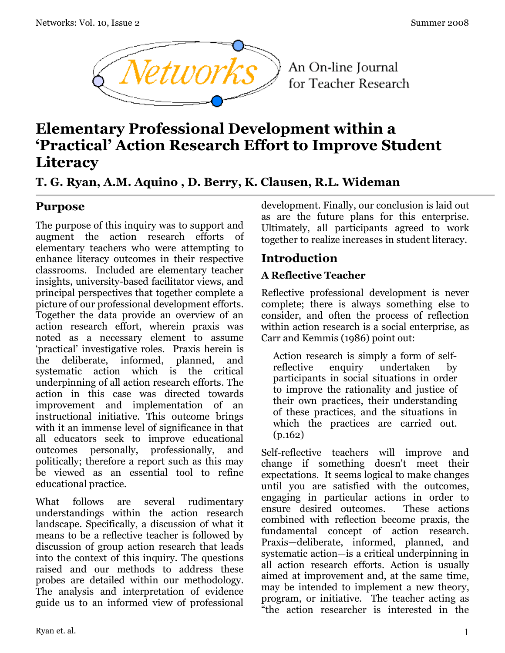

An On-line Journal for Teacher Research

# **Elementary Professional Development within a 'Practical' Action Research Effort to Improve Student Literacy**

**T. G. Ryan, A.M. Aquino , D. Berry, K. Clausen, R.L. Wideman** 

### **Purpose**

The purpose of this inquiry was to support and augment the action research efforts of elementary teachers who were attempting to enhance literacy outcomes in their respective classrooms. Included are elementary teacher insights, university-based facilitator views, and principal perspectives that together complete a picture of our professional development efforts. Together the data provide an overview of an action research effort, wherein praxis was noted as a necessary element to assume 'practical' investigative roles. Praxis herein is the deliberate, informed, planned, and systematic action which is the critical underpinning of all action research efforts. The action in this case was directed towards improvement and implementation of an instructional initiative. This outcome brings with it an immense level of significance in that all educators seek to improve educational outcomes personally, professionally, and politically; therefore a report such as this may be viewed as an essential tool to refine educational practice.

What follows are several rudimentary understandings within the action research landscape. Specifically, a discussion of what it means to be a reflective teacher is followed by discussion of group action research that leads into the context of this inquiry. The questions raised and our methods to address these probes are detailed within our methodology. The analysis and interpretation of evidence guide us to an informed view of professional development. Finally, our conclusion is laid out as are the future plans for this enterprise. Ultimately, all participants agreed to work together to realize increases in student literacy.

### **Introduction**

#### **A Reflective Teacher**

Reflective professional development is never complete; there is always something else to consider, and often the process of reflection within action research is a social enterprise, as Carr and Kemmis (1986) point out:

Action research is simply a form of selfreflective enquiry undertaken by participants in social situations in order to improve the rationality and justice of their own practices, their understanding of these practices, and the situations in which the practices are carried out. (p.162)

Self-reflective teachers will improve and change if something doesn't meet their expectations. It seems logical to make changes until you are satisfied with the outcomes, engaging in particular actions in order to ensure desired outcomes. These actions combined with reflection become praxis, the fundamental concept of action research. Praxis—deliberate, informed, planned, and systematic action—is a critical underpinning in all action research efforts. Action is usually aimed at improvement and, at the same time, may be intended to implement a new theory, program, or initiative. The teacher acting as "the action researcher is interested in the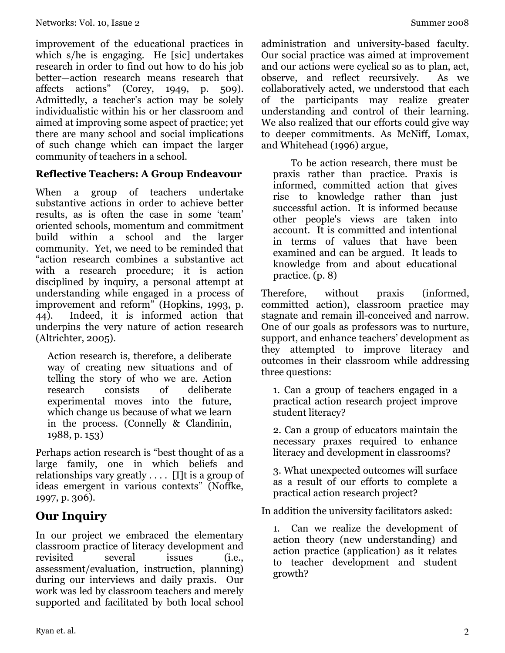improvement of the educational practices in which s/he is engaging. He [sic] undertakes research in order to find out how to do his job better—action research means research that affects actions" (Corey, 1949, p. 509). Admittedly, a teacher's action may be solely individualistic within his or her classroom and aimed at improving some aspect of practice; yet there are many school and social implications of such change which can impact the larger community of teachers in a school.

#### **Reflective Teachers: A Group Endeavour**

When a group of teachers undertake substantive actions in order to achieve better results, as is often the case in some 'team' oriented schools, momentum and commitment build within a school and the larger community. Yet, we need to be reminded that "action research combines a substantive act with a research procedure; it is action disciplined by inquiry, a personal attempt at understanding while engaged in a process of improvement and reform" (Hopkins, 1993, p. 44). Indeed, it is informed action that underpins the very nature of action research (Altrichter, 2005).

Action research is, therefore, a deliberate way of creating new situations and of telling the story of who we are. Action research consists of deliberate experimental moves into the future, which change us because of what we learn in the process. (Connelly & Clandinin, 1988, p. 153)

Perhaps action research is "best thought of as a large family, one in which beliefs and relationships vary greatly  $\dots$  [I]t is a group of ideas emergent in various contexts" (Noffke, 1997, p. 306).

### **Our Inquiry**

In our project we embraced the elementary classroom practice of literacy development and revisited several issues (i.e., assessment/evaluation, instruction, planning) during our interviews and daily praxis. Our work was led by classroom teachers and merely supported and facilitated by both local school administration and university-based faculty. Our social practice was aimed at improvement and our actions were cyclical so as to plan, act, observe, and reflect recursively. As we collaboratively acted, we understood that each of the participants may realize greater understanding and control of their learning. We also realized that our efforts could give way to deeper commitments. As McNiff, Lomax, and Whitehead (1996) argue,

To be action research, there must be praxis rather than practice. Praxis is informed, committed action that gives rise to knowledge rather than just successful action. It is informed because other people's views are taken into account. It is committed and intentional in terms of values that have been examined and can be argued. It leads to knowledge from and about educational practice. (p. 8)

Therefore, without praxis (informed, committed action), classroom practice may stagnate and remain ill-conceived and narrow. One of our goals as professors was to nurture, support, and enhance teachers' development as they attempted to improve literacy and outcomes in their classroom while addressing three questions:

1. Can a group of teachers engaged in a practical action research project improve student literacy?

2. Can a group of educators maintain the necessary praxes required to enhance literacy and development in classrooms?

3. What unexpected outcomes will surface as a result of our efforts to complete a practical action research project?

In addition the university facilitators asked:

1. Can we realize the development of action theory (new understanding) and action practice (application) as it relates to teacher development and student growth?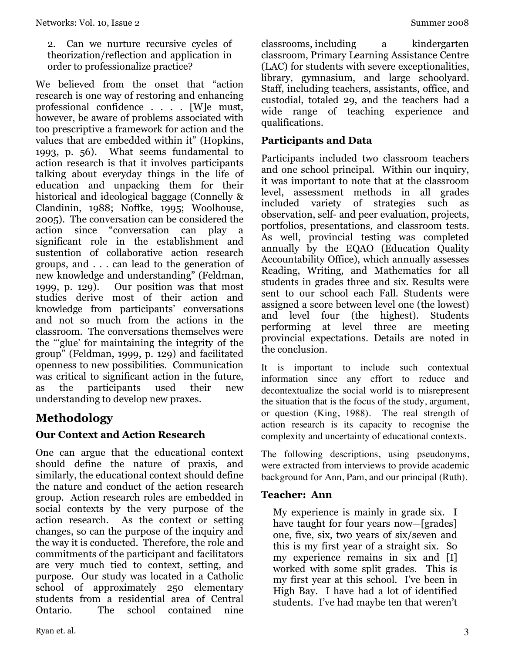2. Can we nurture recursive cycles of theorization/reflection and application in order to professionalize practice?

We believed from the onset that "action research is one way of restoring and enhancing professional confidence . . . . [W]e must, however, be aware of problems associated with too prescriptive a framework for action and the values that are embedded within it" (Hopkins, 1993, p. 56). What seems fundamental to action research is that it involves participants talking about everyday things in the life of education and unpacking them for their historical and ideological baggage (Connelly & Clandinin, 1988; Noffke, 1995; Woolhouse, 2005). The conversation can be considered the action since "conversation can play a significant role in the establishment and sustention of collaborative action research groups, and . . . can lead to the generation of new knowledge and understanding" (Feldman, 1999, p. 129). Our position was that most studies derive most of their action and knowledge from participants' conversations and not so much from the actions in the classroom. The conversations themselves were the "'glue' for maintaining the integrity of the group" (Feldman, 1999, p. 129) and facilitated openness to new possibilities. Communication was critical to significant action in the future, as the participants used their new understanding to develop new praxes.

### **Methodology**

#### **Our Context and Action Research**

One can argue that the educational context should define the nature of praxis, and similarly, the educational context should define the nature and conduct of the action research group. Action research roles are embedded in social contexts by the very purpose of the action research. As the context or setting changes, so can the purpose of the inquiry and the way it is conducted. Therefore, the role and commitments of the participant and facilitators are very much tied to context, setting, and purpose. Our study was located in a Catholic school of approximately 250 elementary students from a residential area of Central Ontario. The school contained nine classrooms, including a kindergarten classroom, Primary Learning Assistance Centre (LAC) for students with severe exceptionalities, library, gymnasium, and large schoolyard. Staff, including teachers, assistants, office, and custodial, totaled 29, and the teachers had a wide range of teaching experience and qualifications.

### **Participants and Data**

Participants included two classroom teachers and one school principal. Within our inquiry, it was important to note that at the classroom level, assessment methods in all grades included variety of strategies such as observation, self- and peer evaluation, projects, portfolios, presentations, and classroom tests. As well, provincial testing was completed annually by the EQAO (Education Quality Accountability Office), which annually assesses Reading, Writing, and Mathematics for all students in grades three and six. Results were sent to our school each Fall. Students were assigned a score between level one (the lowest) and level four (the highest). Students performing at level three are meeting provincial expectations. Details are noted in the conclusion.

It is important to include such contextual information since any effort to reduce and decontextualize the social world is to misrepresent the situation that is the focus of the study, argument, or question (King, 1988). The real strength of action research is its capacity to recognise the complexity and uncertainty of educational contexts.

The following descriptions, using pseudonyms, were extracted from interviews to provide academic background for Ann, Pam, and our principal (Ruth).

#### **Teacher: Ann**

My experience is mainly in grade six. I have taught for four years now—[grades] one, five, six, two years of six/seven and this is my first year of a straight six. So my experience remains in six and [I] worked with some split grades. This is my first year at this school. I've been in High Bay. I have had a lot of identified students. I've had maybe ten that weren't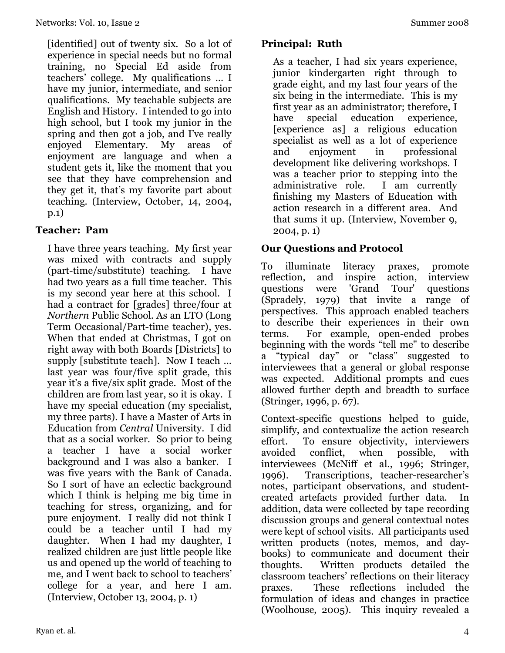[identified] out of twenty six. So a lot of experience in special needs but no formal training, no Special Ed aside from teachers' college. My qualifications … I have my junior, intermediate, and senior qualifications. My teachable subjects are English and History. I intended to go into high school, but I took my junior in the spring and then got a job, and I've really enjoyed Elementary. My areas of enjoyment are language and when a student gets it, like the moment that you see that they have comprehension and they get it, that's my favorite part about teaching. (Interview, October, 14, 2004, p.1)

#### **Teacher: Pam**

I have three years teaching. My first year was mixed with contracts and supply (part-time/substitute) teaching. I have had two years as a full time teacher. This is my second year here at this school. I had a contract for [grades] three/four at *Northern* Public School. As an LTO (Long Term Occasional/Part-time teacher), yes. When that ended at Christmas, I got on right away with both Boards [Districts] to supply [substitute teach]. Now I teach … last year was four/five split grade, this year it's a five/six split grade. Most of the children are from last year, so it is okay. I have my special education (my specialist, my three parts). I have a Master of Arts in Education from *Central* University. I did that as a social worker. So prior to being a teacher I have a social worker background and I was also a banker. I was five years with the Bank of Canada. So I sort of have an eclectic background which I think is helping me big time in teaching for stress, organizing, and for pure enjoyment. I really did not think I could be a teacher until I had my daughter. When I had my daughter, I realized children are just little people like us and opened up the world of teaching to me, and I went back to school to teachers' college for a year, and here I am. (Interview, October 13, 2004, p. 1)

#### **Principal: Ruth**

As a teacher, I had six years experience, junior kindergarten right through to grade eight, and my last four years of the six being in the intermediate. This is my first year as an administrator; therefore, I have special education experience, [experience as] a religious education specialist as well as a lot of experience and enjoyment in professional development like delivering workshops. I was a teacher prior to stepping into the administrative role. I am currently finishing my Masters of Education with action research in a different area. And that sums it up. (Interview, November 9, 2004, p. 1)

#### **Our Questions and Protocol**

To illuminate literacy praxes, promote reflection, and inspire action, interview questions were 'Grand Tour' questions (Spradely, 1979) that invite a range of perspectives. This approach enabled teachers to describe their experiences in their own terms. For example, open-ended probes beginning with the words "tell me" to describe a "typical day" or "class" suggested to interviewees that a general or global response was expected. Additional prompts and cues allowed further depth and breadth to surface (Stringer, 1996, p. 67).

Context-specific questions helped to guide, simplify, and contextualize the action research effort. To ensure objectivity, interviewers avoided conflict, when possible, with interviewees (McNiff et al., 1996; Stringer, 1996). Transcriptions, teacher-researcher's notes, participant observations, and studentcreated artefacts provided further data. In addition, data were collected by tape recording discussion groups and general contextual notes were kept of school visits. All participants used written products (notes, memos, and daybooks) to communicate and document their thoughts. Written products detailed the classroom teachers' reflections on their literacy praxes. These reflections included the formulation of ideas and changes in practice (Woolhouse, 2005). This inquiry revealed a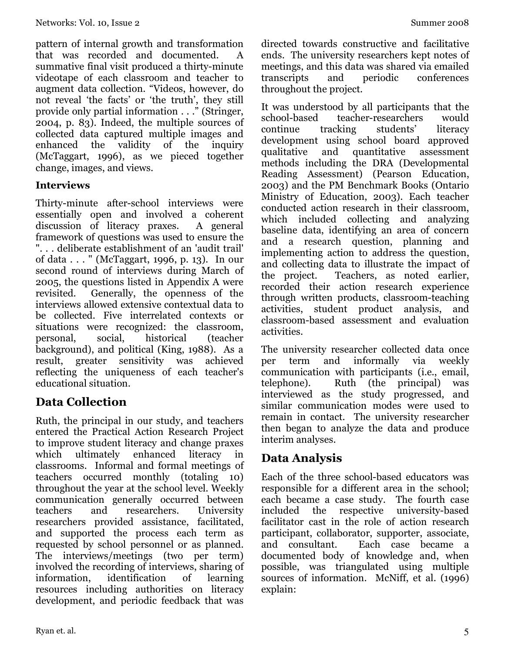pattern of internal growth and transformation that was recorded and documented. A summative final visit produced a thirty-minute videotape of each classroom and teacher to augment data collection. "Videos, however, do not reveal 'the facts' or 'the truth', they still provide only partial information . . ." (Stringer, 2004, p. 83). Indeed, the multiple sources of collected data captured multiple images and enhanced the validity of the inquiry (McTaggart, 1996), as we pieced together change, images, and views.

#### **Interviews**

Thirty-minute after-school interviews were essentially open and involved a coherent discussion of literacy praxes. A general framework of questions was used to ensure the ". . . deliberate establishment of an 'audit trail' of data . . . " (McTaggart, 1996, p. 13). In our second round of interviews during March of 2005, the questions listed in Appendix A were revisited. Generally, the openness of the interviews allowed extensive contextual data to be collected. Five interrelated contexts or situations were recognized: the classroom, personal, social, historical (teacher background), and political (King, 1988). As a result, greater sensitivity was achieved reflecting the uniqueness of each teacher's educational situation.

### **Data Collection**

Ruth, the principal in our study, and teachers entered the Practical Action Research Project to improve student literacy and change praxes which ultimately enhanced literacy in classrooms. Informal and formal meetings of teachers occurred monthly (totaling 10) throughout the year at the school level. Weekly communication generally occurred between teachers and researchers. University researchers provided assistance, facilitated, and supported the process each term as requested by school personnel or as planned. The interviews/meetings (two per term) involved the recording of interviews, sharing of information, identification of learning resources including authorities on literacy development, and periodic feedback that was directed towards constructive and facilitative ends. The university researchers kept notes of meetings, and this data was shared via emailed transcripts and periodic conferences throughout the project.

It was understood by all participants that the school-based teacher-researchers would continue tracking students' literacy development using school board approved qualitative and quantitative assessment methods including the DRA (Developmental Reading Assessment) (Pearson Education, 2003) and the PM Benchmark Books (Ontario Ministry of Education, 2003). Each teacher conducted action research in their classroom, which included collecting and analyzing baseline data, identifying an area of concern and a research question, planning and implementing action to address the question, and collecting data to illustrate the impact of the project. Teachers, as noted earlier, recorded their action research experience through written products, classroom-teaching activities, student product analysis, and classroom-based assessment and evaluation activities.

The university researcher collected data once per term and informally via weekly communication with participants (i.e., email, telephone). Ruth (the principal) was interviewed as the study progressed, and similar communication modes were used to remain in contact. The university researcher then began to analyze the data and produce interim analyses.

### **Data Analysis**

Each of the three school-based educators was responsible for a different area in the school; each became a case study. The fourth case included the respective university-based facilitator cast in the role of action research participant, collaborator, supporter, associate, and consultant. Each case became a documented body of knowledge and, when possible, was triangulated using multiple sources of information. McNiff, et al. (1996) explain: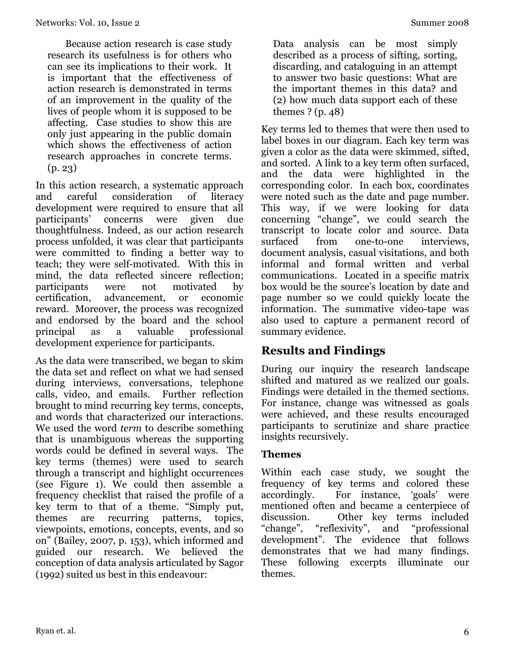Because action research is case study research its usefulness is for others who can see its implications to their work. It is important that the effectiveness of action research is demonstrated in terms of an improvement in the quality of the lives of people whom it is supposed to be affecting. Case studies to show this are only just appearing in the public domain which shows the effectiveness of action research approaches in concrete terms. (p. 23)

In this action research, a systematic approach and careful consideration of literacy development were required to ensure that all participants' concerns were given due thoughtfulness. Indeed, as our action research process unfolded, it was clear that participants were committed to finding a better way to teach; they were self-motivated. With this in mind, the data reflected sincere reflection; participants were not motivated by certification, advancement, or economic reward. Moreover, the process was recognized and endorsed by the board and the school principal as a valuable professional development experience for participants.

As the data were transcribed, we began to skim the data set and reflect on what we had sensed during interviews, conversations, telephone calls, video, and emails. Further reflection brought to mind recurring key terms, concepts, and words that characterized our interactions. We used the word *term* to describe something that is unambiguous whereas the supporting words could be defined in several ways. The key terms (themes) were used to search through a transcript and highlight occurrences (see Figure 1). We could then assemble a frequency checklist that raised the profile of a key term to that of a theme. "Simply put, themes are recurring patterns, topics, viewpoints, emotions, concepts, events, and so on" (Bailey, 2007, p. 153), which informed and guided our research. We believed the conception of data analysis articulated by Sagor (1992) suited us best in this endeavour:

Data analysis can be most simply described as a process of sifting, sorting, discarding, and cataloguing in an attempt to answer two basic questions: What are the important themes in this data? and (2) how much data support each of these themes ? (p. 48)

Key terms led to themes that were then used to label boxes in our diagram. Each key term was given a color as the data were skimmed, sifted, and sorted. A link to a key term often surfaced, and the data were highlighted in the corresponding color. In each box, coordinates were noted such as the date and page number. This way, if we were looking for data concerning "change", we could search the transcript to locate color and source. Data surfaced from one-to-one interviews, document analysis, casual visitations, and both informal and formal written and verbal communications. Located in a specific matrix box would be the source's location by date and page number so we could quickly locate the information. The summative video-tape was also used to capture a permanent record of summary evidence.

### **Results and Findings**

During our inquiry the research landscape shifted and matured as we realized our goals. Findings were detailed in the themed sections. For instance, change was witnessed as goals were achieved, and these results encouraged participants to scrutinize and share practice insights recursively.

#### **Themes**

Within each case study, we sought the frequency of key terms and colored these accordingly. For instance, 'goals' were mentioned often and became a centerpiece of discussion. Other key terms included "change", "reflexivity", and "professional development". The evidence that follows demonstrates that we had many findings. These following excerpts illuminate our themes.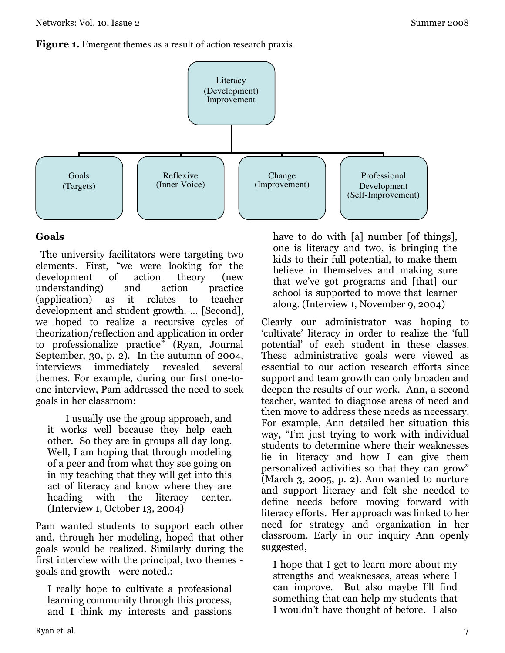

#### **Goals**

 The university facilitators were targeting two elements. First, "we were looking for the development of action theory (new understanding) and action practice (application) as it relates to teacher development and student growth. … [Second], we hoped to realize a recursive cycles of theorization/reflection and application in order to professionalize practice" (Ryan, Journal September, 30, p. 2). In the autumn of 2004, interviews immediately revealed several themes. For example, during our first one-toone interview, Pam addressed the need to seek goals in her classroom:

I usually use the group approach, and it works well because they help each other. So they are in groups all day long. Well, I am hoping that through modeling of a peer and from what they see going on in my teaching that they will get into this act of literacy and know where they are heading with the literacy center. (Interview 1, October 13, 2004)

Pam wanted students to support each other and, through her modeling, hoped that other goals would be realized. Similarly during the first interview with the principal, two themes goals and growth - were noted.:

I really hope to cultivate a professional learning community through this process, and I think my interests and passions

have to do with [a] number [of things], one is literacy and two, is bringing the kids to their full potential, to make them believe in themselves and making sure that we've got programs and [that] our school is supported to move that learner along. (Interview 1, November 9, 2004)

Clearly our administrator was hoping to 'cultivate' literacy in order to realize the 'full potential' of each student in these classes. These administrative goals were viewed as essential to our action research efforts since support and team growth can only broaden and deepen the results of our work. Ann, a second teacher, wanted to diagnose areas of need and then move to address these needs as necessary. For example, Ann detailed her situation this way, "I'm just trying to work with individual students to determine where their weaknesses lie in literacy and how I can give them personalized activities so that they can grow" (March 3, 2005, p. 2). Ann wanted to nurture and support literacy and felt she needed to define needs before moving forward with literacy efforts. Her approach was linked to her need for strategy and organization in her classroom. Early in our inquiry Ann openly suggested,

I hope that I get to learn more about my strengths and weaknesses, areas where I can improve. But also maybe I'll find something that can help my students that I wouldn't have thought of before. I also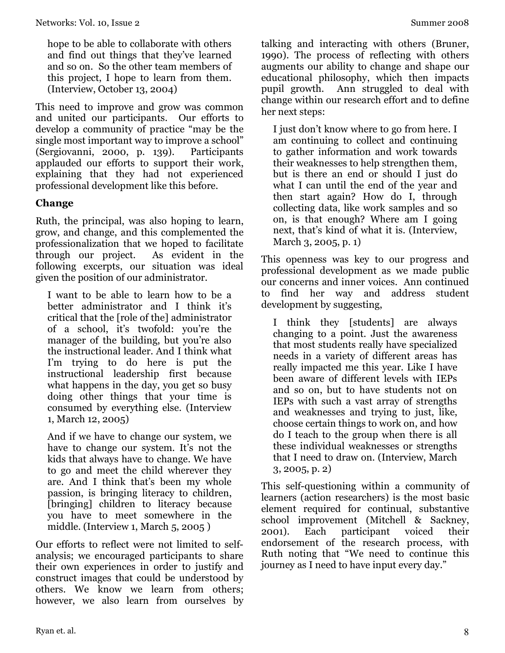hope to be able to collaborate with others and find out things that they've learned and so on. So the other team members of this project, I hope to learn from them. (Interview, October 13, 2004)

This need to improve and grow was common and united our participants. Our efforts to develop a community of practice "may be the single most important way to improve a school" (Sergiovanni, 2000, p. 139). Participants applauded our efforts to support their work, explaining that they had not experienced professional development like this before.

#### **Change**

Ruth, the principal, was also hoping to learn, grow, and change, and this complemented the professionalization that we hoped to facilitate through our project. As evident in the following excerpts, our situation was ideal given the position of our administrator.

I want to be able to learn how to be a better administrator and I think it's critical that the [role of the] administrator of a school, it's twofold: you're the manager of the building, but you're also the instructional leader. And I think what I'm trying to do here is put the instructional leadership first because what happens in the day, you get so busy doing other things that your time is consumed by everything else. (Interview 1, March 12, 2005)

And if we have to change our system, we have to change our system. It's not the kids that always have to change. We have to go and meet the child wherever they are. And I think that's been my whole passion, is bringing literacy to children, [bringing] children to literacy because you have to meet somewhere in the middle. (Interview 1, March 5, 2005 )

Our efforts to reflect were not limited to selfanalysis; we encouraged participants to share their own experiences in order to justify and construct images that could be understood by others. We know we learn from others; however, we also learn from ourselves by talking and interacting with others (Bruner, 1990). The process of reflecting with others augments our ability to change and shape our educational philosophy, which then impacts pupil growth. Ann struggled to deal with change within our research effort and to define her next steps:

I just don't know where to go from here. I am continuing to collect and continuing to gather information and work towards their weaknesses to help strengthen them, but is there an end or should I just do what I can until the end of the year and then start again? How do I, through collecting data, like work samples and so on, is that enough? Where am I going next, that's kind of what it is. (Interview, March 3, 2005, p. 1)

This openness was key to our progress and professional development as we made public our concerns and inner voices. Ann continued to find her way and address student development by suggesting,

I think they [students] are always changing to a point. Just the awareness that most students really have specialized needs in a variety of different areas has really impacted me this year. Like I have been aware of different levels with IEPs and so on, but to have students not on IEPs with such a vast array of strengths and weaknesses and trying to just, like, choose certain things to work on, and how do I teach to the group when there is all these individual weaknesses or strengths that I need to draw on. (Interview, March 3, 2005, p. 2)

This self-questioning within a community of learners (action researchers) is the most basic element required for continual, substantive school improvement (Mitchell & Sackney, 2001). Each participant voiced their endorsement of the research process, with Ruth noting that "We need to continue this journey as I need to have input every day."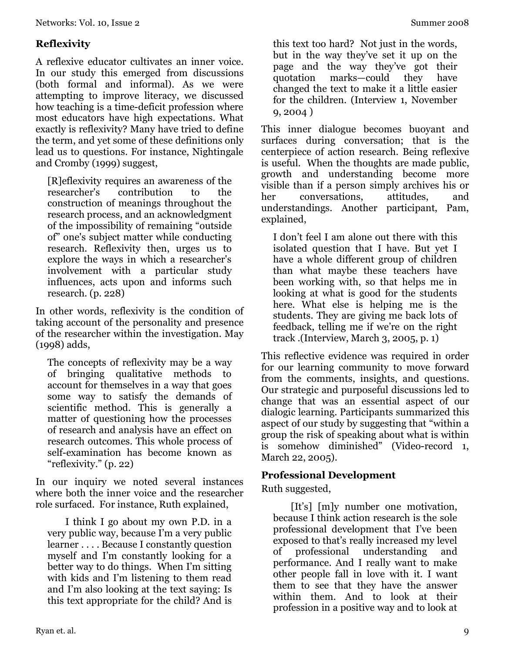#### **Reflexivity**

A reflexive educator cultivates an inner voice. In our study this emerged from discussions (both formal and informal). As we were attempting to improve literacy, we discussed how teaching is a time-deficit profession where most educators have high expectations. What exactly is reflexivity? Many have tried to define the term, and yet some of these definitions only lead us to questions. For instance, Nightingale and Cromby (1999) suggest,

[R]eflexivity requires an awareness of the researcher's contribution to the construction of meanings throughout the research process, and an acknowledgment of the impossibility of remaining "outside of" one's subject matter while conducting research. Reflexivity then, urges us to explore the ways in which a researcher's involvement with a particular study influences, acts upon and informs such research. (p. 228)

In other words, reflexivity is the condition of taking account of the personality and presence of the researcher within the investigation. May (1998) adds,

The concepts of reflexivity may be a way of bringing qualitative methods to account for themselves in a way that goes some way to satisfy the demands of scientific method. This is generally a matter of questioning how the processes of research and analysis have an effect on research outcomes. This whole process of self-examination has become known as "reflexivity." (p. 22)

In our inquiry we noted several instances where both the inner voice and the researcher role surfaced. For instance, Ruth explained,

I think I go about my own P.D. in a very public way, because I'm a very public learner . . . . Because I constantly question myself and I'm constantly looking for a better way to do things. When I'm sitting with kids and I'm listening to them read and I'm also looking at the text saying: Is this text appropriate for the child? And is

this text too hard? Not just in the words, but in the way they've set it up on the page and the way they've got their quotation marks—could they have changed the text to make it a little easier for the children. (Interview 1, November 9, 2004 )

This inner dialogue becomes buoyant and surfaces during conversation; that is the centerpiece of action research. Being reflexive is useful. When the thoughts are made public, growth and understanding become more visible than if a person simply archives his or her conversations, attitudes, and understandings. Another participant, Pam, explained,

I don't feel I am alone out there with this isolated question that I have. But yet I have a whole different group of children than what maybe these teachers have been working with, so that helps me in looking at what is good for the students here. What else is helping me is the students. They are giving me back lots of feedback, telling me if we're on the right track .(Interview, March 3, 2005, p. 1)

This reflective evidence was required in order for our learning community to move forward from the comments, insights, and questions. Our strategic and purposeful discussions led to change that was an essential aspect of our dialogic learning. Participants summarized this aspect of our study by suggesting that "within a group the risk of speaking about what is within is somehow diminished" (Video-record 1, March 22, 2005).

#### **Professional Development**

Ruth suggested,

[It's] [m]y number one motivation, because I think action research is the sole professional development that I've been exposed to that's really increased my level of professional understanding and performance. And I really want to make other people fall in love with it. I want them to see that they have the answer within them. And to look at their profession in a positive way and to look at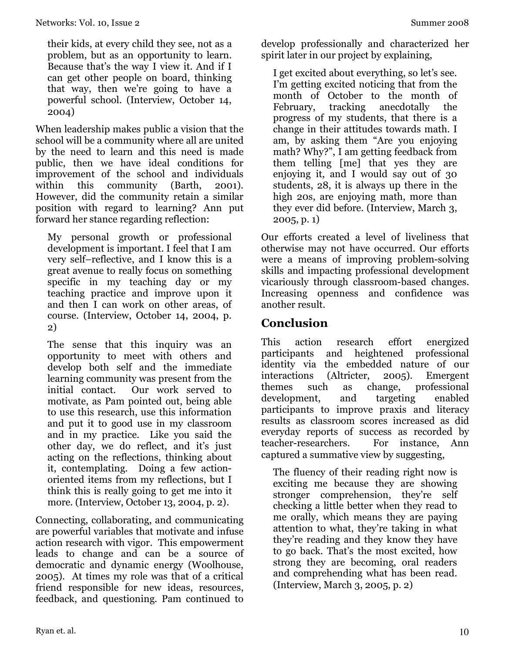their kids, at every child they see, not as a problem, but as an opportunity to learn. Because that's the way I view it. And if I can get other people on board, thinking that way, then we're going to have a powerful school. (Interview, October 14, 2004)

When leadership makes public a vision that the school will be a community where all are united by the need to learn and this need is made public, then we have ideal conditions for improvement of the school and individuals within this community (Barth, 2001). However, did the community retain a similar position with regard to learning? Ann put forward her stance regarding reflection:

My personal growth or professional development is important. I feel that I am very self–reflective, and I know this is a great avenue to really focus on something specific in my teaching day or my teaching practice and improve upon it and then I can work on other areas, of course. (Interview, October 14, 2004, p. 2)

The sense that this inquiry was an opportunity to meet with others and develop both self and the immediate learning community was present from the initial contact. Our work served to motivate, as Pam pointed out, being able to use this research, use this information and put it to good use in my classroom and in my practice. Like you said the other day, we do reflect, and it's just acting on the reflections, thinking about it, contemplating. Doing a few actionoriented items from my reflections, but I think this is really going to get me into it more. (Interview, October 13, 2004, p. 2).

Connecting, collaborating, and communicating are powerful variables that motivate and infuse action research with vigor. This empowerment leads to change and can be a source of democratic and dynamic energy (Woolhouse, 2005). At times my role was that of a critical friend responsible for new ideas, resources, feedback, and questioning. Pam continued to develop professionally and characterized her spirit later in our project by explaining,

I get excited about everything, so let's see. I'm getting excited noticing that from the month of October to the month of February, tracking anecdotally the progress of my students, that there is a change in their attitudes towards math. I am, by asking them "Are you enjoying math? Why?", I am getting feedback from them telling [me] that yes they are enjoying it, and I would say out of 30 students, 28, it is always up there in the high 20s, are enjoying math, more than they ever did before. (Interview, March 3, 2005, p. 1)

Our efforts created a level of liveliness that otherwise may not have occurred. Our efforts were a means of improving problem-solving skills and impacting professional development vicariously through classroom-based changes. Increasing openness and confidence was another result.

### **Conclusion**

This action research effort energized participants and heightened professional identity via the embedded nature of our interactions (Altricter, 2005). Emergent themes such as change, professional development, and targeting enabled participants to improve praxis and literacy results as classroom scores increased as did everyday reports of success as recorded by teacher-researchers. For instance, Ann captured a summative view by suggesting,

The fluency of their reading right now is exciting me because they are showing stronger comprehension, they're self checking a little better when they read to me orally, which means they are paying attention to what, they're taking in what they're reading and they know they have to go back. That's the most excited, how strong they are becoming, oral readers and comprehending what has been read. (Interview, March 3, 2005, p. 2)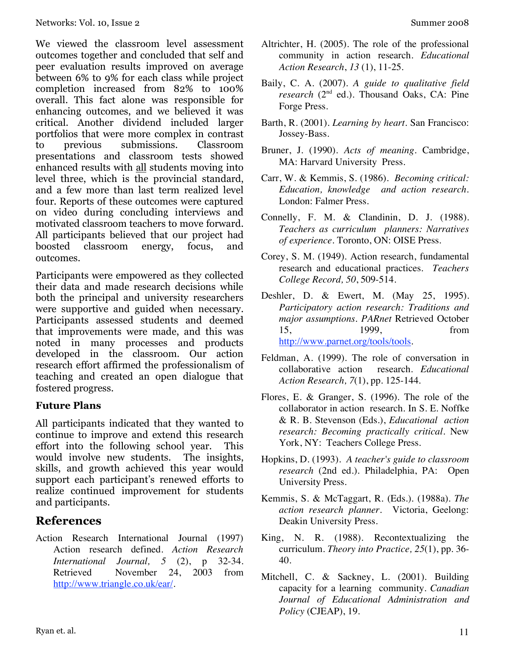We viewed the classroom level assessment outcomes together and concluded that self and peer evaluation results improved on average between 6% to 9% for each class while project completion increased from 82% to 100% overall. This fact alone was responsible for enhancing outcomes, and we believed it was critical. Another dividend included larger portfolios that were more complex in contrast to previous submissions. Classroom presentations and classroom tests showed enhanced results with all students moving into level three, which is the provincial standard, and a few more than last term realized level four. Reports of these outcomes were captured on video during concluding interviews and motivated classroom teachers to move forward. All participants believed that our project had boosted classroom energy, focus, and outcomes.

Participants were empowered as they collected their data and made research decisions while both the principal and university researchers were supportive and guided when necessary. Participants assessed students and deemed that improvements were made, and this was noted in many processes and products developed in the classroom. Our action research effort affirmed the professionalism of teaching and created an open dialogue that fostered progress.

#### **Future Plans**

All participants indicated that they wanted to continue to improve and extend this research effort into the following school year. This would involve new students. The insights, skills, and growth achieved this year would support each participant's renewed efforts to realize continued improvement for students and participants.

### **References**

Action Research International Journal (1997) Action research defined. *Action Research International Journal, 5* (2), p 32-34. Retrieved November 24, 2003 from http://www.triangle.co.uk/ear/.

- Altrichter, H. (2005). The role of the professional community in action research. *Educational Action Research*, *13* (1), 11-25.
- Baily, C. A. (2007). *A guide to qualitative field research* (2<sup>nd</sup> ed.). Thousand Oaks, CA: Pine Forge Press.
- Barth, R. (2001). *Learning by heart*. San Francisco: Jossey-Bass.
- Bruner, J. (1990). *Acts of meaning*. Cambridge, MA: Harvard University Press.
- Carr, W. & Kemmis, S. (1986). *Becoming critical: Education, knowledge and action research.* London: Falmer Press.
- Connelly, F. M. & Clandinin, D. J. (1988). *Teachers as curriculum planners: Narratives of experience.* Toronto, ON: OISE Press.
- Corey, S. M. (1949). Action research, fundamental research and educational practices. *Teachers College Record, 50*, 509-514.
- Deshler, D. & Ewert, M. (May 25, 1995). *Participatory action research: Traditions and major assumptions*. *PARnet* Retrieved October 15, 1999, from http://www.parnet.org/tools/tools.
- Feldman, A. (1999). The role of conversation in collaborative action research. *Educational Action Research, 7*(1), pp. 125-144.
- Flores, E. & Granger, S. (1996). The role of the collaborator in action research. In S. E. Noffke & R. B. Stevenson (Eds.), *Educational action research: Becoming practically critical.* New York, NY: Teachers College Press.
- Hopkins, D. (1993). *A teacher's guide to classroom research* (2nd ed.). Philadelphia, PA: Open University Press.
- Kemmis, S. & McTaggart, R. (Eds.). (1988a). *The action research planner.* Victoria, Geelong: Deakin University Press.
- King, N. R. (1988). Recontextualizing the curriculum. *Theory into Practice, 25*(1), pp. 36- 40.
- Mitchell, C. & Sackney, L. (2001). Building capacity for a learning community. *Canadian Journal of Educational Administration and Policy* (CJEAP), 19.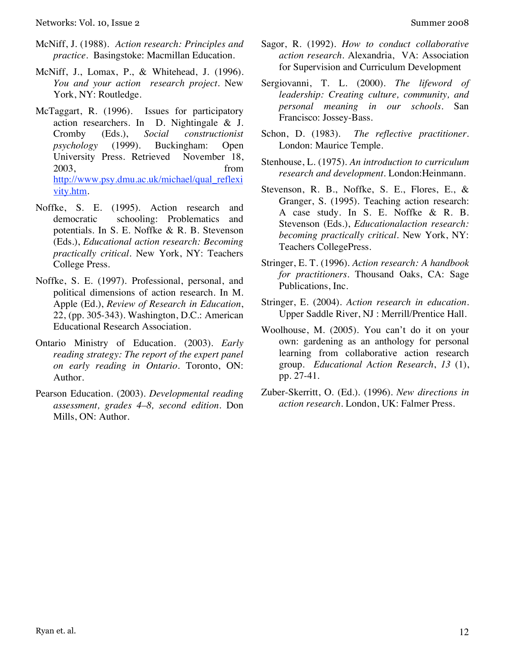- McNiff, J. (1988). *Action research: Principles and practice*. Basingstoke: Macmillan Education.
- McNiff, J., Lomax, P., & Whitehead, J. (1996). *You and your action research project*. New York, NY: Routledge.
- McTaggart, R. (1996). Issues for participatory action researchers. In D. Nightingale & J. Cromby (Eds.), *Social constructionist psychology* (1999). Buckingham: Open University Press. Retrieved November 18, 2003, from http://www.psy.dmu.ac.uk/michael/qual\_reflexi vity.htm.
- Noffke, S. E. (1995). Action research and democratic schooling: Problematics and potentials. In S. E. Noffke & R. B. Stevenson (Eds.), *Educational action research: Becoming practically critical*. New York, NY: Teachers College Press.
- Noffke, S. E. (1997). Professional, personal, and political dimensions of action research. In M. Apple (Ed.), *Review of Research in Education*, 22, (pp. 305-343). Washington, D.C.: American Educational Research Association.
- Ontario Ministry of Education. (2003). *Early reading strategy: The report of the expert panel on early reading in Ontario.* Toronto, ON: Author.
- Pearson Education. (2003). *Developmental reading assessment, grades 4–8, second edition*. Don Mills, ON: Author.
- Sagor, R. (1992). *How to conduct collaborative action research*. Alexandria, VA: Association for Supervision and Curriculum Development
- Sergiovanni, T. L. (2000). *The lifeword of leadership: Creating culture, community, and personal meaning in our schools.* San Francisco: Jossey-Bass.
- Schon, D. (1983). *The reflective practitioner*. London: Maurice Temple.
- Stenhouse, L. (1975). *An introduction to curriculum research and development*. London:Heinmann.
- Stevenson, R. B., Noffke, S. E., Flores, E., & Granger, S. (1995). Teaching action research: A case study. In S. E. Noffke & R. B. Stevenson (Eds.), *Educationalaction research: becoming practically critical*. New York, NY: Teachers CollegePress.
- Stringer, E. T. (1996). *Action research: A handbook for practitioners*. Thousand Oaks, CA: Sage Publications, Inc.
- Stringer, E. (2004). *Action research in education.*  Upper Saddle River, NJ : Merrill/Prentice Hall.
- Woolhouse, M. (2005). You can't do it on your own: gardening as an anthology for personal learning from collaborative action research group. *Educational Action Research*, *13* (1), pp. 27-41.
- Zuber-Skerritt, O. (Ed.). (1996). *New directions in action research*. London, UK: Falmer Press.